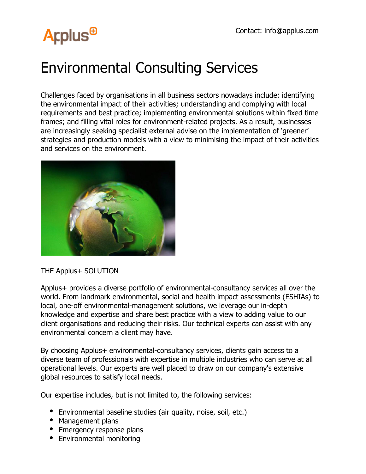## **Arplus<sup>®</sup>**

## Environmental Consulting Services

Challenges faced by organisations in all business sectors nowadays include: identifying the environmental impact of their activities; understanding and complying with local requirements and best practice; implementing environmental solutions within fixed time frames; and filling vital roles for environment-related projects. As a result, businesses are increasingly seeking specialist external advise on the implementation of 'greener' strategies and production models with a view to minimising the impact of their activities and services on the environment.



THE Applus+ SOLUTION

Applus+ provides a diverse portfolio of environmental-consultancy services all over the world. From landmark environmental, social and health impact assessments (ESHIAs) to local, one-off environmental-management solutions, we leverage our in-depth knowledge and expertise and share best practice with a view to adding value to our client organisations and reducing their risks. Our technical experts can assist with any environmental concern a client may have.

By choosing Applus+ environmental-consultancy services, clients gain access to a diverse team of professionals with expertise in multiple industries who can serve at all operational levels. Our experts are well placed to draw on our company's extensive global resources to satisfy local needs.

Our expertise includes, but is not limited to, the following services:

- Environmental baseline studies (air quality, noise, soil, etc.)
- Management plans
- Emergency response plans
- Environmental monitoring